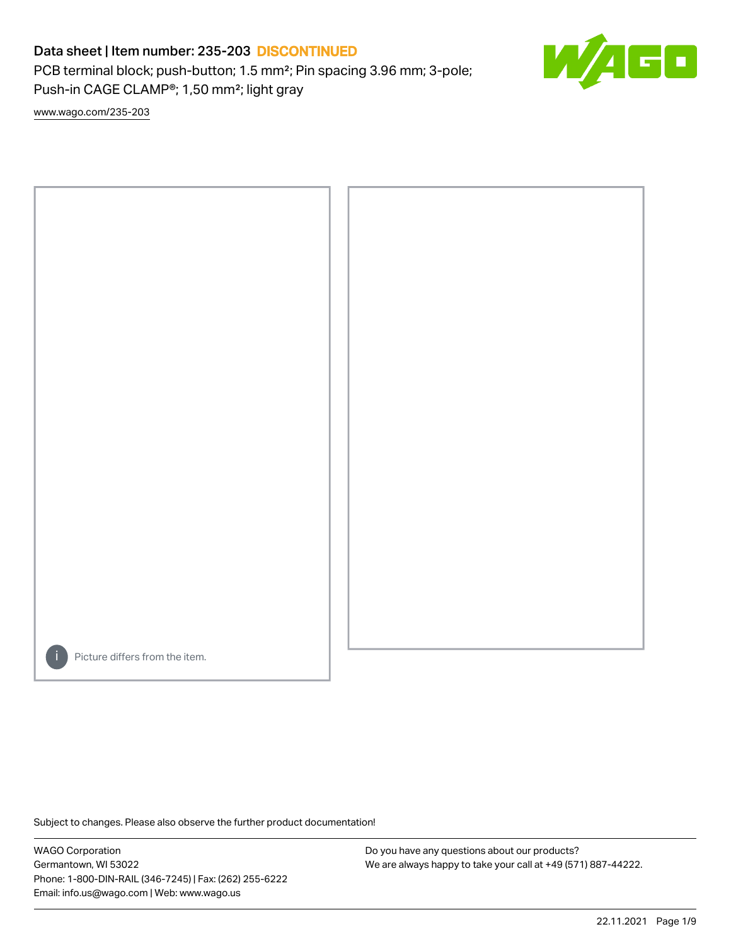PCB terminal block; push-button; 1.5 mm²; Pin spacing 3.96 mm; 3-pole; Push-in CAGE CLAMP®; 1,50 mm²; light gray

E

[www.wago.com/235-203](http://www.wago.com/235-203)



Picture differs from the item.

Subject to changes. Please also observe the further product documentation!

WAGO Corporation Germantown, WI 53022 Phone: 1-800-DIN-RAIL (346-7245) | Fax: (262) 255-6222 Email: info.us@wago.com | Web: www.wago.us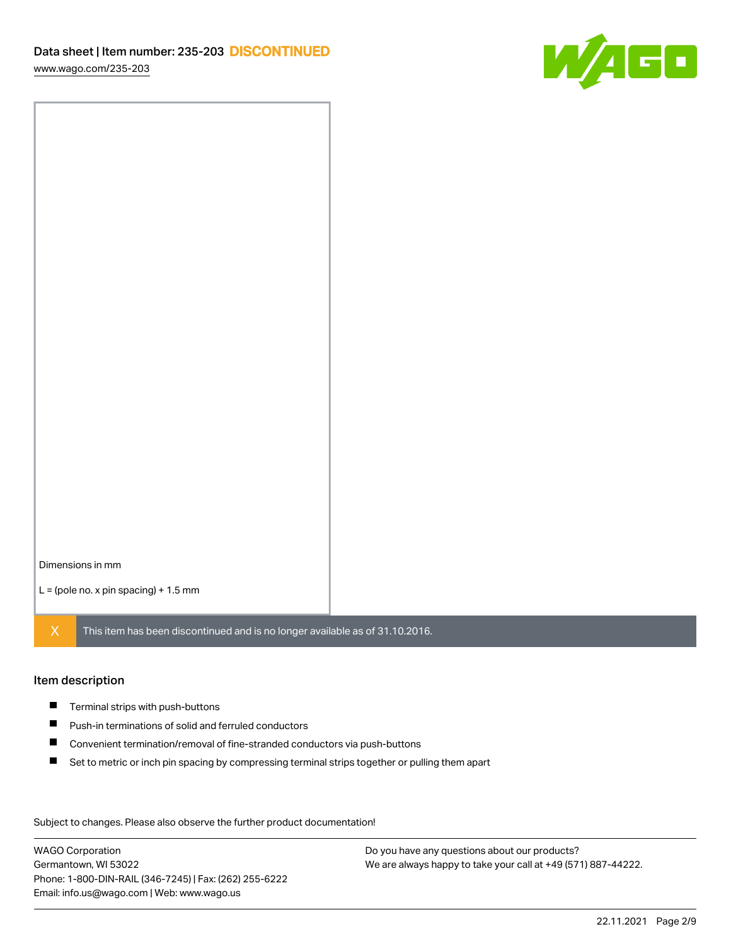[www.wago.com/235-203](http://www.wago.com/235-203)



Dimensions in mm

 $L =$  (pole no. x pin spacing) + 1.5 mm

 $X$  This item has been discontinued and is no longer available as of 31.10.2016.

### Item description

- **Terminal strips with push-buttons**
- $\blacksquare$ Push-in terminations of solid and ferruled conductors
- $\blacksquare$ Convenient termination/removal of fine-stranded conductors via push-buttons
- $\blacksquare$ Set to metric or inch pin spacing by compressing terminal strips together or pulling them apart

Subject to changes. Please also observe the further product documentation! Data

WAGO Corporation Germantown, WI 53022 Phone: 1-800-DIN-RAIL (346-7245) | Fax: (262) 255-6222 Email: info.us@wago.com | Web: www.wago.us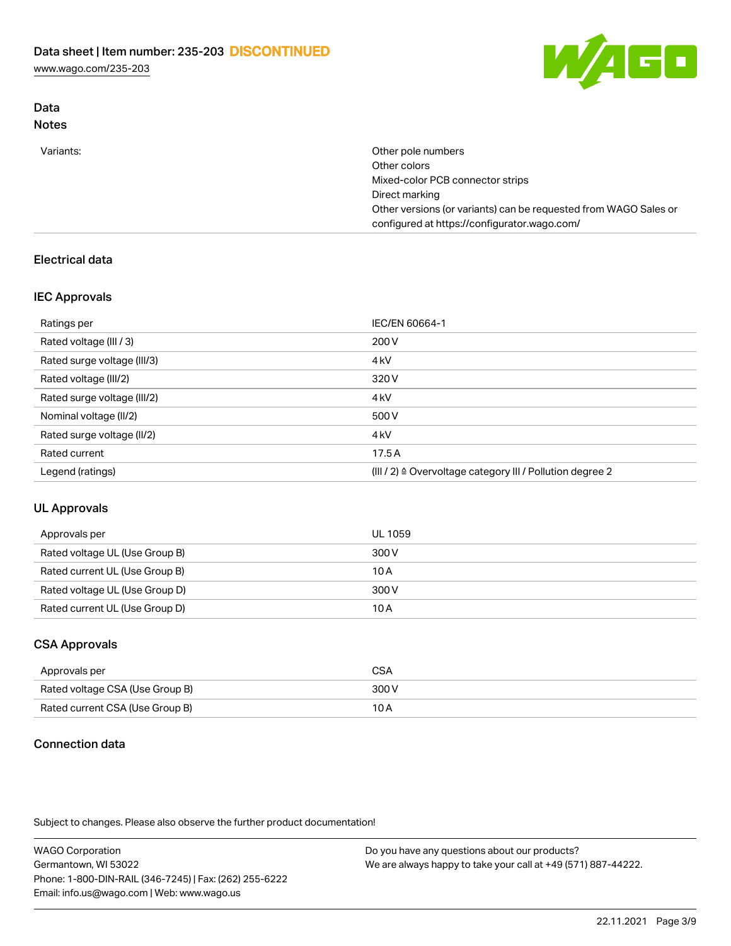[www.wago.com/235-203](http://www.wago.com/235-203)



## Data Notes

| Variants: | Other pole numbers                                               |
|-----------|------------------------------------------------------------------|
|           | Other colors                                                     |
|           | Mixed-color PCB connector strips                                 |
|           | Direct marking                                                   |
|           | Other versions (or variants) can be requested from WAGO Sales or |
|           | configured at https://configurator.wago.com/                     |

# Electrical data

## IEC Approvals

| Ratings per                 | IEC/EN 60664-1                                            |
|-----------------------------|-----------------------------------------------------------|
| Rated voltage (III / 3)     | 200 V                                                     |
| Rated surge voltage (III/3) | 4 <sub>k</sub> V                                          |
| Rated voltage (III/2)       | 320 V                                                     |
| Rated surge voltage (III/2) | 4 <sub>k</sub> V                                          |
| Nominal voltage (II/2)      | 500 V                                                     |
| Rated surge voltage (II/2)  | 4 <sub>k</sub> V                                          |
| Rated current               | 17.5A                                                     |
| Legend (ratings)            | (III / 2) ≙ Overvoltage category III / Pollution degree 2 |

## UL Approvals

| Approvals per                  | UL 1059 |
|--------------------------------|---------|
| Rated voltage UL (Use Group B) | 300 V   |
| Rated current UL (Use Group B) | 10 A    |
| Rated voltage UL (Use Group D) | 300 V   |
| Rated current UL (Use Group D) | 10 A    |

## CSA Approvals

| Approvals per                   | CSA   |
|---------------------------------|-------|
| Rated voltage CSA (Use Group B) | 300 V |
| Rated current CSA (Use Group B) | 10 A  |

# Connection data

Subject to changes. Please also observe the further product documentation!

WAGO Corporation Germantown, WI 53022 Phone: 1-800-DIN-RAIL (346-7245) | Fax: (262) 255-6222 Email: info.us@wago.com | Web: www.wago.us Do you have any questions about our products? We are always happy to take your call at +49 (571) 887-44222.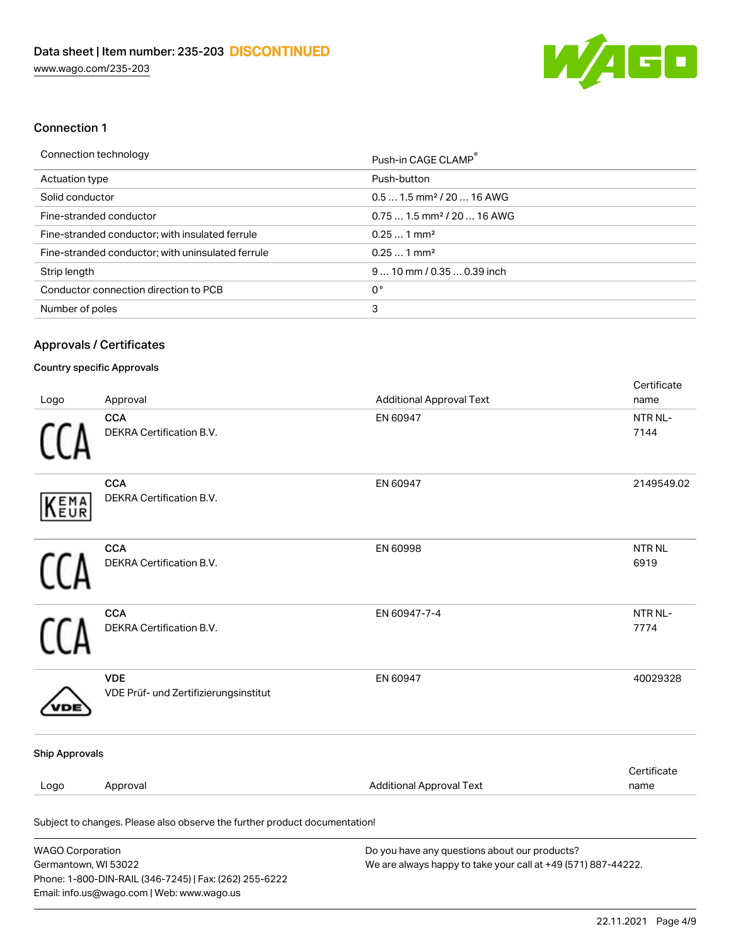

## Connection 1

## Approvals / Certificates

### Country specific Approvals

Email: info.us@wago.com | Web: www.wago.us

| Logo                                            | Approval                                                                   | <b>Additional Approval Text</b>                                                                                | Certificate<br>name   |
|-------------------------------------------------|----------------------------------------------------------------------------|----------------------------------------------------------------------------------------------------------------|-----------------------|
|                                                 | <b>CCA</b><br>DEKRA Certification B.V.                                     | EN 60947                                                                                                       | NTR NL-<br>7144       |
| EMA<br>EUR                                      | CCA<br>DEKRA Certification B.V.                                            | EN 60947                                                                                                       | 2149549.02            |
|                                                 | <b>CCA</b><br>DEKRA Certification B.V.                                     | EN 60998                                                                                                       | <b>NTR NL</b><br>6919 |
|                                                 | <b>CCA</b><br>DEKRA Certification B.V.                                     | EN 60947-7-4                                                                                                   | NTR NL-<br>7774       |
|                                                 | <b>VDE</b><br>VDE Prüf- und Zertifizierungsinstitut                        | EN 60947                                                                                                       | 40029328              |
| <b>Ship Approvals</b>                           |                                                                            |                                                                                                                |                       |
| Logo                                            | Approval                                                                   | <b>Additional Approval Text</b>                                                                                | Certificate<br>name   |
|                                                 | Subject to changes. Please also observe the further product documentation! |                                                                                                                |                       |
| <b>WAGO Corporation</b><br>Germantown, WI 53022 | Phone: 1-800-DIN-RAIL (346-7245)   Fax: (262) 255-6222                     | Do you have any questions about our products?<br>We are always happy to take your call at +49 (571) 887-44222. |                       |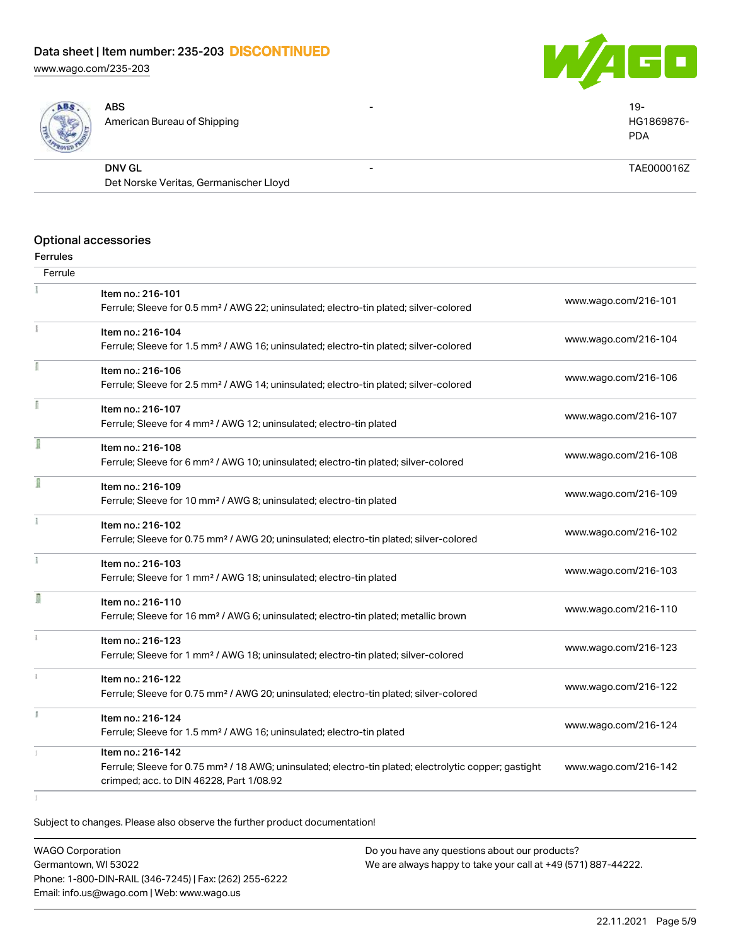[www.wago.com/235-203](http://www.wago.com/235-203)





| ABS<br>L<br>ROND | <b>ABS</b><br>American Bureau of Shipping | -                        | $19-$<br>HG1869876-<br><b>PDA</b> |
|------------------|-------------------------------------------|--------------------------|-----------------------------------|
|                  | <b>DNV GL</b>                             | $\overline{\phantom{0}}$ | TAE000016Z                        |
|                  | Det Norske Veritas, Germanischer Lloyd    |                          |                                   |

### Optional accessories

### Ferrules

| Ferrule      |                                                                                                                                                                                    |                      |
|--------------|------------------------------------------------------------------------------------------------------------------------------------------------------------------------------------|----------------------|
|              | Item no.: 216-101<br>Ferrule; Sleeve for 0.5 mm <sup>2</sup> / AWG 22; uninsulated; electro-tin plated; silver-colored                                                             | www.wago.com/216-101 |
| Ť.           | Item no.: 216-104<br>Ferrule; Sleeve for 1.5 mm <sup>2</sup> / AWG 16; uninsulated; electro-tin plated; silver-colored                                                             | www.wago.com/216-104 |
|              | Item no.: 216-106<br>Ferrule; Sleeve for 2.5 mm <sup>2</sup> / AWG 14; uninsulated; electro-tin plated; silver-colored                                                             | www.wago.com/216-106 |
|              | Item no.: 216-107<br>Ferrule; Sleeve for 4 mm <sup>2</sup> / AWG 12; uninsulated; electro-tin plated                                                                               | www.wago.com/216-107 |
|              | Item no.: 216-108<br>Ferrule; Sleeve for 6 mm <sup>2</sup> / AWG 10; uninsulated; electro-tin plated; silver-colored                                                               | www.wago.com/216-108 |
|              | Item no.: 216-109<br>Ferrule; Sleeve for 10 mm <sup>2</sup> / AWG 8; uninsulated; electro-tin plated                                                                               | www.wago.com/216-109 |
|              | Item no.: 216-102<br>Ferrule; Sleeve for 0.75 mm <sup>2</sup> / AWG 20; uninsulated; electro-tin plated; silver-colored                                                            | www.wago.com/216-102 |
|              | Item no.: 216-103<br>Ferrule; Sleeve for 1 mm <sup>2</sup> / AWG 18; uninsulated; electro-tin plated                                                                               | www.wago.com/216-103 |
| D            | Item no.: 216-110<br>Ferrule; Sleeve for 16 mm <sup>2</sup> / AWG 6; uninsulated; electro-tin plated; metallic brown                                                               | www.wago.com/216-110 |
|              | Item no.: 216-123<br>Ferrule; Sleeve for 1 mm <sup>2</sup> / AWG 18; uninsulated; electro-tin plated; silver-colored                                                               | www.wago.com/216-123 |
| $\mathbf{1}$ | Item no.: 216-122<br>Ferrule; Sleeve for 0.75 mm <sup>2</sup> / AWG 20; uninsulated; electro-tin plated; silver-colored                                                            | www.wago.com/216-122 |
|              | Item no.: 216-124<br>Ferrule; Sleeve for 1.5 mm <sup>2</sup> / AWG 16; uninsulated; electro-tin plated                                                                             | www.wago.com/216-124 |
|              | Item no.: 216-142<br>Ferrule; Sleeve for 0.75 mm <sup>2</sup> / 18 AWG; uninsulated; electro-tin plated; electrolytic copper; gastight<br>crimped; acc. to DIN 46228, Part 1/08.92 | www.wago.com/216-142 |
|              |                                                                                                                                                                                    |                      |

Subject to changes. Please also observe the further product documentation!

WAGO Corporation Germantown, WI 53022 Phone: 1-800-DIN-RAIL (346-7245) | Fax: (262) 255-6222 Email: info.us@wago.com | Web: www.wago.us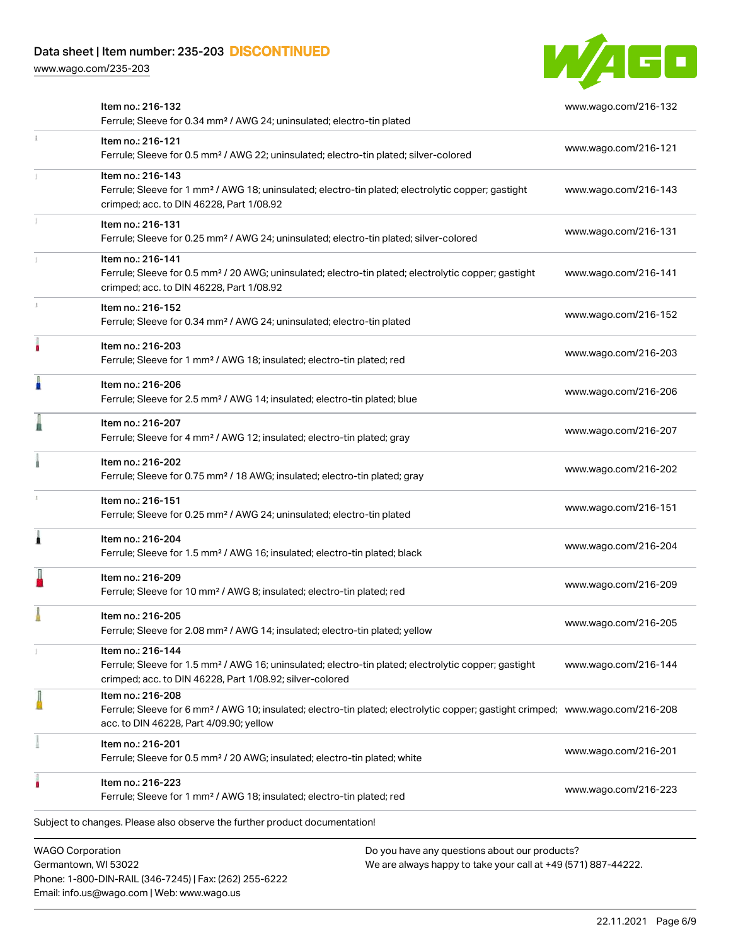Phone: 1-800-DIN-RAIL (346-7245) | Fax: (262) 255-6222

Email: info.us@wago.com | Web: www.wago.us

[www.wago.com/235-203](http://www.wago.com/235-203)



|                                                 | Item no.: 216-132<br>Ferrule; Sleeve for 0.34 mm <sup>2</sup> / AWG 24; uninsulated; electro-tin plated                                                                                                    |                                                                                                                | www.wago.com/216-132 |
|-------------------------------------------------|------------------------------------------------------------------------------------------------------------------------------------------------------------------------------------------------------------|----------------------------------------------------------------------------------------------------------------|----------------------|
| $\frac{1}{3}$                                   | Item no.: 216-121<br>Ferrule; Sleeve for 0.5 mm <sup>2</sup> / AWG 22; uninsulated; electro-tin plated; silver-colored                                                                                     |                                                                                                                | www.wago.com/216-121 |
|                                                 | Item no.: 216-143<br>Ferrule; Sleeve for 1 mm <sup>2</sup> / AWG 18; uninsulated; electro-tin plated; electrolytic copper; gastight<br>crimped; acc. to DIN 46228, Part 1/08.92                            |                                                                                                                | www.wago.com/216-143 |
|                                                 | Item no.: 216-131<br>Ferrule; Sleeve for 0.25 mm <sup>2</sup> / AWG 24; uninsulated; electro-tin plated; silver-colored                                                                                    |                                                                                                                | www.wago.com/216-131 |
|                                                 | Item no.: 216-141<br>Ferrule; Sleeve for 0.5 mm <sup>2</sup> / 20 AWG; uninsulated; electro-tin plated; electrolytic copper; gastight<br>crimped; acc. to DIN 46228, Part 1/08.92                          |                                                                                                                | www.wago.com/216-141 |
|                                                 | Item no.: 216-152<br>Ferrule; Sleeve for 0.34 mm <sup>2</sup> / AWG 24; uninsulated; electro-tin plated                                                                                                    |                                                                                                                | www.wago.com/216-152 |
|                                                 | Item no.: 216-203<br>Ferrule; Sleeve for 1 mm <sup>2</sup> / AWG 18; insulated; electro-tin plated; red                                                                                                    |                                                                                                                | www.wago.com/216-203 |
| Ä                                               | Item no.: 216-206<br>Ferrule; Sleeve for 2.5 mm <sup>2</sup> / AWG 14; insulated; electro-tin plated; blue                                                                                                 |                                                                                                                | www.wago.com/216-206 |
|                                                 | Item no.: 216-207<br>Ferrule; Sleeve for 4 mm <sup>2</sup> / AWG 12; insulated; electro-tin plated; gray                                                                                                   |                                                                                                                | www.wago.com/216-207 |
|                                                 | Item no.: 216-202<br>Ferrule; Sleeve for 0.75 mm <sup>2</sup> / 18 AWG; insulated; electro-tin plated; gray                                                                                                |                                                                                                                | www.wago.com/216-202 |
|                                                 | Item no.: 216-151<br>Ferrule; Sleeve for 0.25 mm <sup>2</sup> / AWG 24; uninsulated; electro-tin plated                                                                                                    |                                                                                                                | www.wago.com/216-151 |
| Â                                               | Item no.: 216-204<br>Ferrule; Sleeve for 1.5 mm <sup>2</sup> / AWG 16; insulated; electro-tin plated; black                                                                                                |                                                                                                                | www.wago.com/216-204 |
|                                                 | Item no.: 216-209<br>Ferrule; Sleeve for 10 mm <sup>2</sup> / AWG 8; insulated; electro-tin plated; red                                                                                                    |                                                                                                                | www.wago.com/216-209 |
|                                                 | Item no.: 216-205<br>Ferrule; Sleeve for 2.08 mm <sup>2</sup> / AWG 14; insulated; electro-tin plated; yellow                                                                                              |                                                                                                                | www.wago.com/216-205 |
|                                                 | Item no.: 216-144<br>Ferrule; Sleeve for 1.5 mm <sup>2</sup> / AWG 16; uninsulated; electro-tin plated; electrolytic copper; gastight<br>crimped; acc. to DIN 46228, Part 1/08.92; silver-colored          |                                                                                                                | www.wago.com/216-144 |
|                                                 | Item no.: 216-208<br>Ferrule; Sleeve for 6 mm <sup>2</sup> / AWG 10; insulated; electro-tin plated; electrolytic copper; gastight crimped; www.wago.com/216-208<br>acc. to DIN 46228, Part 4/09.90; yellow |                                                                                                                |                      |
|                                                 | Item no.: 216-201<br>Ferrule; Sleeve for 0.5 mm <sup>2</sup> / 20 AWG; insulated; electro-tin plated; white                                                                                                |                                                                                                                | www.wago.com/216-201 |
|                                                 | Item no.: 216-223<br>Ferrule; Sleeve for 1 mm <sup>2</sup> / AWG 18; insulated; electro-tin plated; red                                                                                                    |                                                                                                                | www.wago.com/216-223 |
|                                                 | Subject to changes. Please also observe the further product documentation!                                                                                                                                 |                                                                                                                |                      |
| <b>WAGO Corporation</b><br>Germantown, WI 53022 |                                                                                                                                                                                                            | Do you have any questions about our products?<br>We are always happy to take your call at +49 (571) 887-44222. |                      |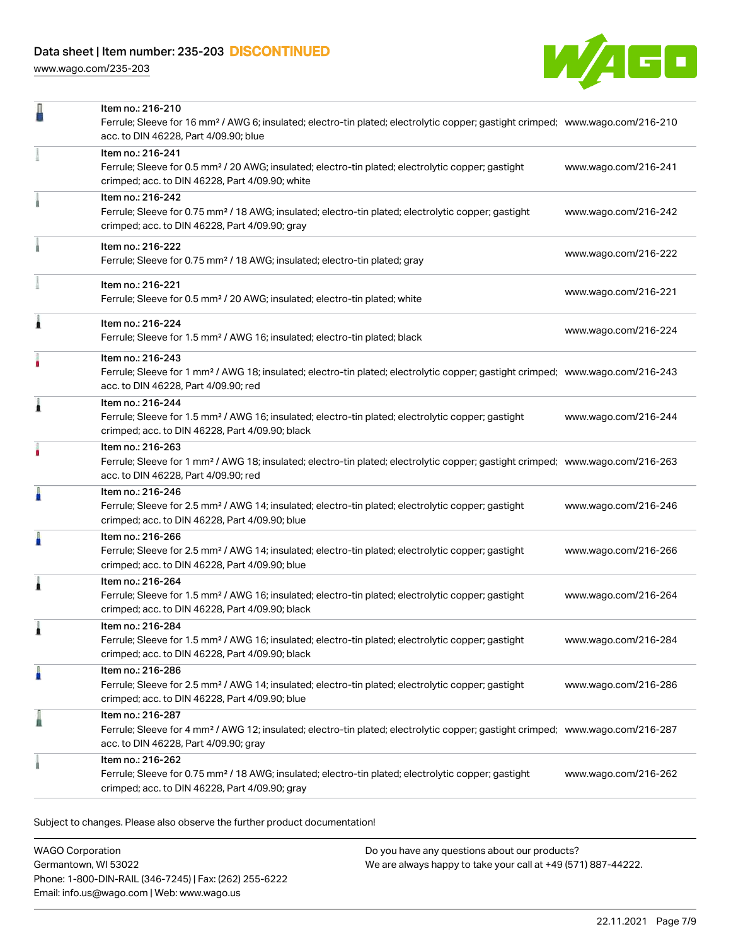[www.wago.com/235-203](http://www.wago.com/235-203)



| Item no.: 216-241<br>Ferrule; Sleeve for 0.5 mm <sup>2</sup> / 20 AWG; insulated; electro-tin plated; electrolytic copper; gastight<br>www.wago.com/216-241<br>crimped; acc. to DIN 46228, Part 4/09.90; white<br>Item no.: 216-242<br>Ferrule; Sleeve for 0.75 mm <sup>2</sup> / 18 AWG; insulated; electro-tin plated; electrolytic copper; gastight<br>www.wago.com/216-242<br>crimped; acc. to DIN 46228, Part 4/09.90; gray<br>Item no.: 216-222<br>www.wago.com/216-222<br>Ferrule; Sleeve for 0.75 mm <sup>2</sup> / 18 AWG; insulated; electro-tin plated; gray<br>Item no.: 216-221<br>www.wago.com/216-221<br>Ferrule; Sleeve for 0.5 mm <sup>2</sup> / 20 AWG; insulated; electro-tin plated; white<br>Item no.: 216-224<br>1<br>www.wago.com/216-224<br>Ferrule; Sleeve for 1.5 mm <sup>2</sup> / AWG 16; insulated; electro-tin plated; black<br>Item no.: 216-243<br>٠<br>Ferrule; Sleeve for 1 mm <sup>2</sup> / AWG 18; insulated; electro-tin plated; electrolytic copper; gastight crimped; www.wago.com/216-243<br>acc. to DIN 46228, Part 4/09.90; red<br>Item no.: 216-244<br>1<br>Ferrule; Sleeve for 1.5 mm <sup>2</sup> / AWG 16; insulated; electro-tin plated; electrolytic copper; gastight<br>www.wago.com/216-244<br>crimped; acc. to DIN 46228, Part 4/09.90; black<br>Item no.: 216-263<br>Ferrule; Sleeve for 1 mm <sup>2</sup> / AWG 18; insulated; electro-tin plated; electrolytic copper; gastight crimped; www.wago.com/216-263<br>acc. to DIN 46228, Part 4/09.90; red<br>Item no.: 216-246<br>Ferrule; Sleeve for 2.5 mm <sup>2</sup> / AWG 14; insulated; electro-tin plated; electrolytic copper; gastight<br>www.wago.com/216-246<br>crimped; acc. to DIN 46228, Part 4/09.90; blue<br>Item no.: 216-266<br>Ferrule; Sleeve for 2.5 mm <sup>2</sup> / AWG 14; insulated; electro-tin plated; electrolytic copper; gastight<br>www.wago.com/216-266<br>crimped; acc. to DIN 46228, Part 4/09.90; blue<br>Item no.: 216-264<br>Ferrule; Sleeve for 1.5 mm <sup>2</sup> / AWG 16; insulated; electro-tin plated; electrolytic copper; gastight<br>www.wago.com/216-264<br>crimped; acc. to DIN 46228, Part 4/09.90; black<br>Item no.: 216-284<br>Ferrule; Sleeve for 1.5 mm <sup>2</sup> / AWG 16; insulated; electro-tin plated; electrolytic copper; gastight<br>www.wago.com/216-284<br>crimped; acc. to DIN 46228, Part 4/09.90; black<br>Item no.: 216-286<br>Ferrule; Sleeve for 2.5 mm <sup>2</sup> / AWG 14; insulated; electro-tin plated; electrolytic copper; gastight<br>www.wago.com/216-286<br>crimped; acc. to DIN 46228, Part 4/09.90; blue<br>I<br>Item no.: 216-287<br>Ferrule; Sleeve for 4 mm <sup>2</sup> / AWG 12; insulated; electro-tin plated; electrolytic copper; gastight crimped; www.wago.com/216-287<br>acc. to DIN 46228, Part 4/09.90; gray<br>Item no.: 216-262<br>Ferrule; Sleeve for 0.75 mm <sup>2</sup> / 18 AWG; insulated; electro-tin plated; electrolytic copper; gastight<br>www.wago.com/216-262<br>crimped; acc. to DIN 46228, Part 4/09.90; gray | Item no.: 216-210<br>Ferrule; Sleeve for 16 mm <sup>2</sup> / AWG 6; insulated; electro-tin plated; electrolytic copper; gastight crimped; www.wago.com/216-210<br>acc. to DIN 46228, Part 4/09.90; blue |  |
|----------------------------------------------------------------------------------------------------------------------------------------------------------------------------------------------------------------------------------------------------------------------------------------------------------------------------------------------------------------------------------------------------------------------------------------------------------------------------------------------------------------------------------------------------------------------------------------------------------------------------------------------------------------------------------------------------------------------------------------------------------------------------------------------------------------------------------------------------------------------------------------------------------------------------------------------------------------------------------------------------------------------------------------------------------------------------------------------------------------------------------------------------------------------------------------------------------------------------------------------------------------------------------------------------------------------------------------------------------------------------------------------------------------------------------------------------------------------------------------------------------------------------------------------------------------------------------------------------------------------------------------------------------------------------------------------------------------------------------------------------------------------------------------------------------------------------------------------------------------------------------------------------------------------------------------------------------------------------------------------------------------------------------------------------------------------------------------------------------------------------------------------------------------------------------------------------------------------------------------------------------------------------------------------------------------------------------------------------------------------------------------------------------------------------------------------------------------------------------------------------------------------------------------------------------------------------------------------------------------------------------------------------------------------------------------------------------------------------------------------------------------------------------------------------------------------------------------------------------------------------------------------------------------------------------------------------------------------------------------------------------------------------------------|----------------------------------------------------------------------------------------------------------------------------------------------------------------------------------------------------------|--|
|                                                                                                                                                                                                                                                                                                                                                                                                                                                                                                                                                                                                                                                                                                                                                                                                                                                                                                                                                                                                                                                                                                                                                                                                                                                                                                                                                                                                                                                                                                                                                                                                                                                                                                                                                                                                                                                                                                                                                                                                                                                                                                                                                                                                                                                                                                                                                                                                                                                                                                                                                                                                                                                                                                                                                                                                                                                                                                                                                                                                                                        |                                                                                                                                                                                                          |  |
|                                                                                                                                                                                                                                                                                                                                                                                                                                                                                                                                                                                                                                                                                                                                                                                                                                                                                                                                                                                                                                                                                                                                                                                                                                                                                                                                                                                                                                                                                                                                                                                                                                                                                                                                                                                                                                                                                                                                                                                                                                                                                                                                                                                                                                                                                                                                                                                                                                                                                                                                                                                                                                                                                                                                                                                                                                                                                                                                                                                                                                        |                                                                                                                                                                                                          |  |
|                                                                                                                                                                                                                                                                                                                                                                                                                                                                                                                                                                                                                                                                                                                                                                                                                                                                                                                                                                                                                                                                                                                                                                                                                                                                                                                                                                                                                                                                                                                                                                                                                                                                                                                                                                                                                                                                                                                                                                                                                                                                                                                                                                                                                                                                                                                                                                                                                                                                                                                                                                                                                                                                                                                                                                                                                                                                                                                                                                                                                                        |                                                                                                                                                                                                          |  |
|                                                                                                                                                                                                                                                                                                                                                                                                                                                                                                                                                                                                                                                                                                                                                                                                                                                                                                                                                                                                                                                                                                                                                                                                                                                                                                                                                                                                                                                                                                                                                                                                                                                                                                                                                                                                                                                                                                                                                                                                                                                                                                                                                                                                                                                                                                                                                                                                                                                                                                                                                                                                                                                                                                                                                                                                                                                                                                                                                                                                                                        |                                                                                                                                                                                                          |  |
|                                                                                                                                                                                                                                                                                                                                                                                                                                                                                                                                                                                                                                                                                                                                                                                                                                                                                                                                                                                                                                                                                                                                                                                                                                                                                                                                                                                                                                                                                                                                                                                                                                                                                                                                                                                                                                                                                                                                                                                                                                                                                                                                                                                                                                                                                                                                                                                                                                                                                                                                                                                                                                                                                                                                                                                                                                                                                                                                                                                                                                        |                                                                                                                                                                                                          |  |
|                                                                                                                                                                                                                                                                                                                                                                                                                                                                                                                                                                                                                                                                                                                                                                                                                                                                                                                                                                                                                                                                                                                                                                                                                                                                                                                                                                                                                                                                                                                                                                                                                                                                                                                                                                                                                                                                                                                                                                                                                                                                                                                                                                                                                                                                                                                                                                                                                                                                                                                                                                                                                                                                                                                                                                                                                                                                                                                                                                                                                                        |                                                                                                                                                                                                          |  |
|                                                                                                                                                                                                                                                                                                                                                                                                                                                                                                                                                                                                                                                                                                                                                                                                                                                                                                                                                                                                                                                                                                                                                                                                                                                                                                                                                                                                                                                                                                                                                                                                                                                                                                                                                                                                                                                                                                                                                                                                                                                                                                                                                                                                                                                                                                                                                                                                                                                                                                                                                                                                                                                                                                                                                                                                                                                                                                                                                                                                                                        |                                                                                                                                                                                                          |  |
|                                                                                                                                                                                                                                                                                                                                                                                                                                                                                                                                                                                                                                                                                                                                                                                                                                                                                                                                                                                                                                                                                                                                                                                                                                                                                                                                                                                                                                                                                                                                                                                                                                                                                                                                                                                                                                                                                                                                                                                                                                                                                                                                                                                                                                                                                                                                                                                                                                                                                                                                                                                                                                                                                                                                                                                                                                                                                                                                                                                                                                        |                                                                                                                                                                                                          |  |
|                                                                                                                                                                                                                                                                                                                                                                                                                                                                                                                                                                                                                                                                                                                                                                                                                                                                                                                                                                                                                                                                                                                                                                                                                                                                                                                                                                                                                                                                                                                                                                                                                                                                                                                                                                                                                                                                                                                                                                                                                                                                                                                                                                                                                                                                                                                                                                                                                                                                                                                                                                                                                                                                                                                                                                                                                                                                                                                                                                                                                                        |                                                                                                                                                                                                          |  |
|                                                                                                                                                                                                                                                                                                                                                                                                                                                                                                                                                                                                                                                                                                                                                                                                                                                                                                                                                                                                                                                                                                                                                                                                                                                                                                                                                                                                                                                                                                                                                                                                                                                                                                                                                                                                                                                                                                                                                                                                                                                                                                                                                                                                                                                                                                                                                                                                                                                                                                                                                                                                                                                                                                                                                                                                                                                                                                                                                                                                                                        |                                                                                                                                                                                                          |  |
|                                                                                                                                                                                                                                                                                                                                                                                                                                                                                                                                                                                                                                                                                                                                                                                                                                                                                                                                                                                                                                                                                                                                                                                                                                                                                                                                                                                                                                                                                                                                                                                                                                                                                                                                                                                                                                                                                                                                                                                                                                                                                                                                                                                                                                                                                                                                                                                                                                                                                                                                                                                                                                                                                                                                                                                                                                                                                                                                                                                                                                        |                                                                                                                                                                                                          |  |
|                                                                                                                                                                                                                                                                                                                                                                                                                                                                                                                                                                                                                                                                                                                                                                                                                                                                                                                                                                                                                                                                                                                                                                                                                                                                                                                                                                                                                                                                                                                                                                                                                                                                                                                                                                                                                                                                                                                                                                                                                                                                                                                                                                                                                                                                                                                                                                                                                                                                                                                                                                                                                                                                                                                                                                                                                                                                                                                                                                                                                                        |                                                                                                                                                                                                          |  |
|                                                                                                                                                                                                                                                                                                                                                                                                                                                                                                                                                                                                                                                                                                                                                                                                                                                                                                                                                                                                                                                                                                                                                                                                                                                                                                                                                                                                                                                                                                                                                                                                                                                                                                                                                                                                                                                                                                                                                                                                                                                                                                                                                                                                                                                                                                                                                                                                                                                                                                                                                                                                                                                                                                                                                                                                                                                                                                                                                                                                                                        |                                                                                                                                                                                                          |  |
|                                                                                                                                                                                                                                                                                                                                                                                                                                                                                                                                                                                                                                                                                                                                                                                                                                                                                                                                                                                                                                                                                                                                                                                                                                                                                                                                                                                                                                                                                                                                                                                                                                                                                                                                                                                                                                                                                                                                                                                                                                                                                                                                                                                                                                                                                                                                                                                                                                                                                                                                                                                                                                                                                                                                                                                                                                                                                                                                                                                                                                        |                                                                                                                                                                                                          |  |
|                                                                                                                                                                                                                                                                                                                                                                                                                                                                                                                                                                                                                                                                                                                                                                                                                                                                                                                                                                                                                                                                                                                                                                                                                                                                                                                                                                                                                                                                                                                                                                                                                                                                                                                                                                                                                                                                                                                                                                                                                                                                                                                                                                                                                                                                                                                                                                                                                                                                                                                                                                                                                                                                                                                                                                                                                                                                                                                                                                                                                                        |                                                                                                                                                                                                          |  |

Subject to changes. Please also observe the further product documentation!

WAGO Corporation Germantown, WI 53022 Phone: 1-800-DIN-RAIL (346-7245) | Fax: (262) 255-6222 Email: info.us@wago.com | Web: www.wago.us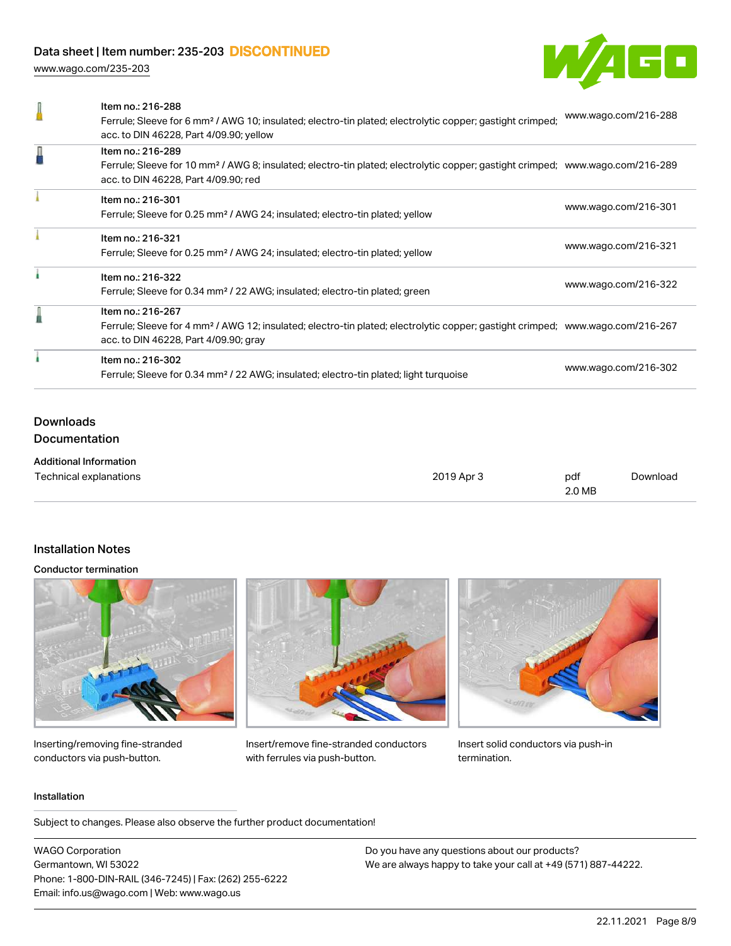[www.wago.com/235-203](http://www.wago.com/235-203)



| Item no.: 216-288<br>Ferrule; Sleeve for 6 mm <sup>2</sup> / AWG 10; insulated; electro-tin plated; electrolytic copper; gastight crimped;<br>acc. to DIN 46228, Part 4/09.90; yellow                    | www.wago.com/216-288 |
|----------------------------------------------------------------------------------------------------------------------------------------------------------------------------------------------------------|----------------------|
| Item no.: 216-289<br>Ferrule; Sleeve for 10 mm <sup>2</sup> / AWG 8; insulated; electro-tin plated; electrolytic copper; gastight crimped; www.wago.com/216-289<br>acc. to DIN 46228, Part 4/09.90; red  |                      |
| Item no.: 216-301<br>Ferrule; Sleeve for 0.25 mm <sup>2</sup> / AWG 24; insulated; electro-tin plated; yellow                                                                                            | www.wago.com/216-301 |
| Item no.: 216-321<br>Ferrule; Sleeve for 0.25 mm <sup>2</sup> / AWG 24; insulated; electro-tin plated; yellow                                                                                            | www.wago.com/216-321 |
| Item no.: 216-322<br>Ferrule; Sleeve for 0.34 mm <sup>2</sup> / 22 AWG; insulated; electro-tin plated; green                                                                                             | www.wago.com/216-322 |
| Item no.: 216-267<br>Ferrule; Sleeve for 4 mm <sup>2</sup> / AWG 12; insulated; electro-tin plated; electrolytic copper; gastight crimped; www.wago.com/216-267<br>acc. to DIN 46228, Part 4/09.90; gray |                      |
| Item no.: 216-302<br>Ferrule; Sleeve for 0.34 mm <sup>2</sup> / 22 AWG; insulated; electro-tin plated; light turquoise                                                                                   | www.wago.com/216-302 |
|                                                                                                                                                                                                          |                      |

## Downloads Documentation

| <b>Additional Information</b> |            |        |          |
|-------------------------------|------------|--------|----------|
| Technical explanations        | 2019 Apr 3 | pdf    | Download |
|                               |            | 2.0 MB |          |

## Installation Notes

#### Conductor termination



Inserting/removing fine-stranded conductors via push-button.



Insert/remove fine-stranded conductors with ferrules via push-button.



Insert solid conductors via push-in termination.

#### Installation

Subject to changes. Please also observe the further product documentation!

WAGO Corporation Germantown, WI 53022 Phone: 1-800-DIN-RAIL (346-7245) | Fax: (262) 255-6222 Email: info.us@wago.com | Web: www.wago.us